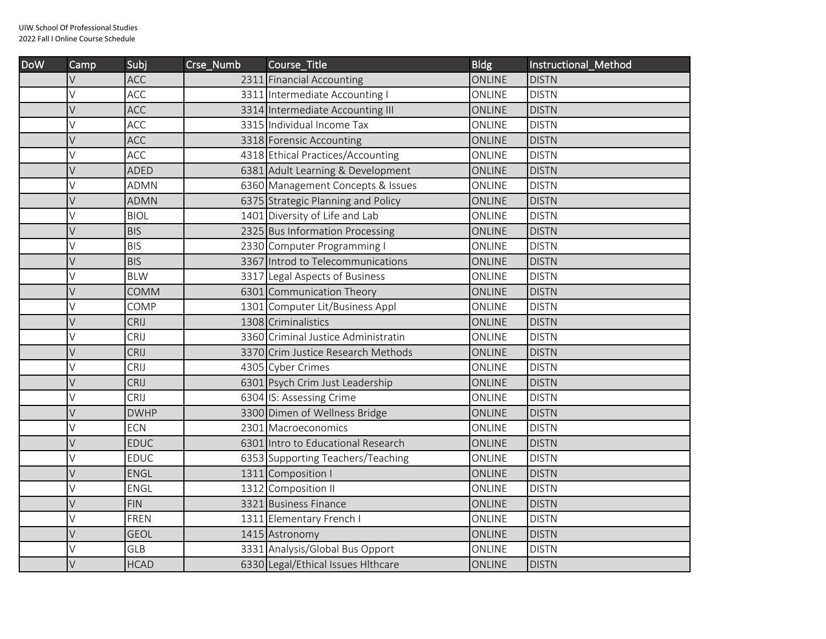2022 Fall I Online Course Schedule

| <b>DoW</b> | Camp   | Subj        | Crse_Numb | Course_Title                        | <b>Bldg</b>   | Instructional Method |
|------------|--------|-------------|-----------|-------------------------------------|---------------|----------------------|
|            | V      | <b>ACC</b>  |           | 2311 Financial Accounting           | <b>ONLINE</b> | <b>DISTN</b>         |
|            | V      | ACC         |           | 3311 Intermediate Accounting I      | ONLINE        | <b>DISTN</b>         |
|            | V      | ACC         |           | 3314 Intermediate Accounting III    | ONLINE        | <b>DISTN</b>         |
|            | V      | ACC         |           | 3315 Individual Income Tax          | ONLINE        | <b>DISTN</b>         |
|            | $\vee$ | ACC         |           | 3318 Forensic Accounting            | ONLINE        | <b>DISTN</b>         |
|            | ٧      | ACC         |           | 4318 Ethical Practices/Accounting   | ONLINE        | <b>DISTN</b>         |
|            | V      | <b>ADED</b> |           | 6381 Adult Learning & Development   | <b>ONLINE</b> | <b>DISTN</b>         |
|            | V      | <b>ADMN</b> |           | 6360 Management Concepts & Issues   | ONLINE        | <b>DISTN</b>         |
|            | $\vee$ | <b>ADMN</b> |           | 6375 Strategic Planning and Policy  | ONLINE        | <b>DISTN</b>         |
|            | V      | <b>BIOL</b> |           | 1401 Diversity of Life and Lab      | ONLINE        | <b>DISTN</b>         |
|            | V      | <b>BIS</b>  |           | 2325 Bus Information Processing     | <b>ONLINE</b> | <b>DISTN</b>         |
|            | V      | <b>BIS</b>  |           | 2330 Computer Programming           | ONLINE        | <b>DISTN</b>         |
|            | $\vee$ | <b>BIS</b>  |           | 3367 Introd to Telecommunications   | <b>ONLINE</b> | <b>DISTN</b>         |
|            | V      | <b>BLW</b>  |           | 3317 Legal Aspects of Business      | ONLINE        | <b>DISTN</b>         |
|            | V      | <b>COMM</b> |           | 6301 Communication Theory           | <b>ONLINE</b> | <b>DISTN</b>         |
|            | V      | COMP        |           | 1301 Computer Lit/Business Appl     | ONLINE        | <b>DISTN</b>         |
|            | V      | CRIJ        |           | 1308 Criminalistics                 | <b>ONLINE</b> | <b>DISTN</b>         |
|            | V      | CRIJ        |           | 3360 Criminal Justice Administratin | ONLINE        | <b>DISTN</b>         |
|            | V      | CRIJ        |           | 3370 Crim Justice Research Methods  | ONLINE        | <b>DISTN</b>         |
|            | V      | CRIJ        |           | 4305 Cyber Crimes                   | ONLINE        | <b>DISTN</b>         |
|            | V      | CRIJ        |           | 6301 Psych Crim Just Leadership     | ONLINE        | <b>DISTN</b>         |
|            | V      | CRIJ        |           | 6304 IS: Assessing Crime            | ONLINE        | <b>DISTN</b>         |
|            | $\vee$ | <b>DWHP</b> |           | 3300 Dimen of Wellness Bridge       | <b>ONLINE</b> | <b>DISTN</b>         |
|            | V      | <b>ECN</b>  |           | 2301 Macroeconomics                 | ONLINE        | <b>DISTN</b>         |
|            | $\vee$ | <b>EDUC</b> |           | 6301 Intro to Educational Research  | <b>ONLINE</b> | <b>DISTN</b>         |
|            | V      | <b>EDUC</b> |           | 6353 Supporting Teachers/Teaching   | ONLINE        | <b>DISTN</b>         |
|            | V      | ENGL        |           | 1311 Composition I                  | <b>ONLINE</b> | <b>DISTN</b>         |
|            | V      | ENGL        |           | 1312 Composition II                 | ONLINE        | <b>DISTN</b>         |
|            | V      | <b>FIN</b>  |           | 3321 Business Finance               | <b>ONLINE</b> | <b>DISTN</b>         |
|            | V      | <b>FREN</b> |           | 1311 Elementary French I            | ONLINE        | <b>DISTN</b>         |
|            | $\vee$ | <b>GEOL</b> |           | 1415 Astronomy                      | <b>ONLINE</b> | <b>DISTN</b>         |
|            | V      | <b>GLB</b>  |           | 3331 Analysis/Global Bus Opport     | ONLINE        | <b>DISTN</b>         |
|            | V      | <b>HCAD</b> |           | 6330 Legal/Ethical Issues Hithcare  | <b>ONLINE</b> | <b>DISTN</b>         |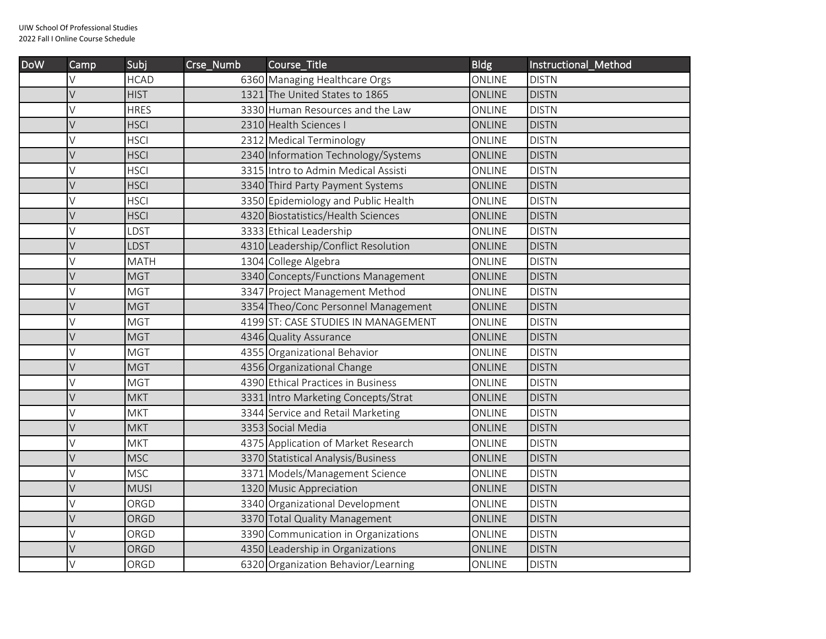| <b>DoW</b> | $Cam$ p | Subi        | Crse_Numb | Course_Title                        | <b>Bldg</b>   | Instructional Method |
|------------|---------|-------------|-----------|-------------------------------------|---------------|----------------------|
|            | V       | <b>HCAD</b> |           | 6360 Managing Healthcare Orgs       | ONLINE        | <b>DISTN</b>         |
|            | V       | <b>HIST</b> |           | 1321 The United States to 1865      | <b>ONLINE</b> | <b>DISTN</b>         |
|            | V       | <b>HRES</b> |           | 3330 Human Resources and the Law    | <b>ONLINE</b> | <b>DISTN</b>         |
|            | V       | <b>HSCI</b> |           | 2310 Health Sciences I              | <b>ONLINE</b> | <b>DISTN</b>         |
|            | V       | <b>HSCI</b> |           | 2312 Medical Terminology            | ONLINE        | <b>DISTN</b>         |
|            | V       | <b>HSCI</b> |           | 2340 Information Technology/Systems | <b>ONLINE</b> | <b>DISTN</b>         |
|            | V       | <b>HSCI</b> |           | 3315 Intro to Admin Medical Assisti | ONLINE        | <b>DISTN</b>         |
|            | V       | <b>HSCI</b> |           | 3340 Third Party Payment Systems    | <b>ONLINE</b> | <b>DISTN</b>         |
|            | V       | <b>HSCI</b> |           | 3350 Epidemiology and Public Health | ONLINE        | <b>DISTN</b>         |
|            | V       | <b>HSCI</b> |           | 4320 Biostatistics/Health Sciences  | <b>ONLINE</b> | <b>DISTN</b>         |
|            | V       | LDST        |           | 3333 Ethical Leadership             | ONLINE        | <b>DISTN</b>         |
|            | V       | LDST        |           | 4310 Leadership/Conflict Resolution | <b>ONLINE</b> | <b>DISTN</b>         |
|            | V       | <b>MATH</b> |           | 1304 College Algebra                | ONLINE        | <b>DISTN</b>         |
|            | V       | <b>MGT</b>  |           | 3340 Concepts/Functions Management  | <b>ONLINE</b> | <b>DISTN</b>         |
|            | V       | <b>MGT</b>  |           | 3347 Project Management Method      | ONLINE        | <b>DISTN</b>         |
|            | V       | <b>MGT</b>  |           | 3354 Theo/Conc Personnel Management | <b>ONLINE</b> | <b>DISTN</b>         |
|            | V       | <b>MGT</b>  |           | 4199 ST: CASE STUDIES IN MANAGEMENT | <b>ONLINE</b> | <b>DISTN</b>         |
|            | V       | <b>MGT</b>  |           | 4346 Quality Assurance              | <b>ONLINE</b> | <b>DISTN</b>         |
|            | V       | <b>MGT</b>  |           | 4355 Organizational Behavior        | ONLINE        | <b>DISTN</b>         |
|            | V       | <b>MGT</b>  |           | 4356 Organizational Change          | <b>ONLINE</b> | <b>DISTN</b>         |
|            | V       | <b>MGT</b>  |           | 4390 Ethical Practices in Business  | ONLINE        | <b>DISTN</b>         |
|            | V       | <b>MKT</b>  |           | 3331 Intro Marketing Concepts/Strat | <b>ONLINE</b> | <b>DISTN</b>         |
|            | V       | <b>MKT</b>  |           | 3344 Service and Retail Marketing   | ONLINE        | <b>DISTN</b>         |
|            | V       | <b>MKT</b>  |           | 3353 Social Media                   | <b>ONLINE</b> | <b>DISTN</b>         |
|            | V       | <b>MKT</b>  |           | 4375 Application of Market Research | ONLINE        | <b>DISTN</b>         |
|            | V       | <b>MSC</b>  |           | 3370 Statistical Analysis/Business  | <b>ONLINE</b> | <b>DISTN</b>         |
|            | V       | <b>MSC</b>  |           | 3371 Models/Management Science      | ONLINE        | <b>DISTN</b>         |
|            | V       | <b>MUSI</b> |           | 1320 Music Appreciation             | ONLINE        | <b>DISTN</b>         |
|            | V       | ORGD        |           | 3340 Organizational Development     | ONLINE        | <b>DISTN</b>         |
|            | V       | ORGD        |           | 3370 Total Quality Management       | <b>ONLINE</b> | <b>DISTN</b>         |
|            | V       | ORGD        |           | 3390 Communication in Organizations | ONLINE        | <b>DISTN</b>         |
|            | V       | ORGD        |           | 4350 Leadership in Organizations    | <b>ONLINE</b> | <b>DISTN</b>         |
|            | V       | ORGD        |           | 6320 Organization Behavior/Learning | ONLINE        | <b>DISTN</b>         |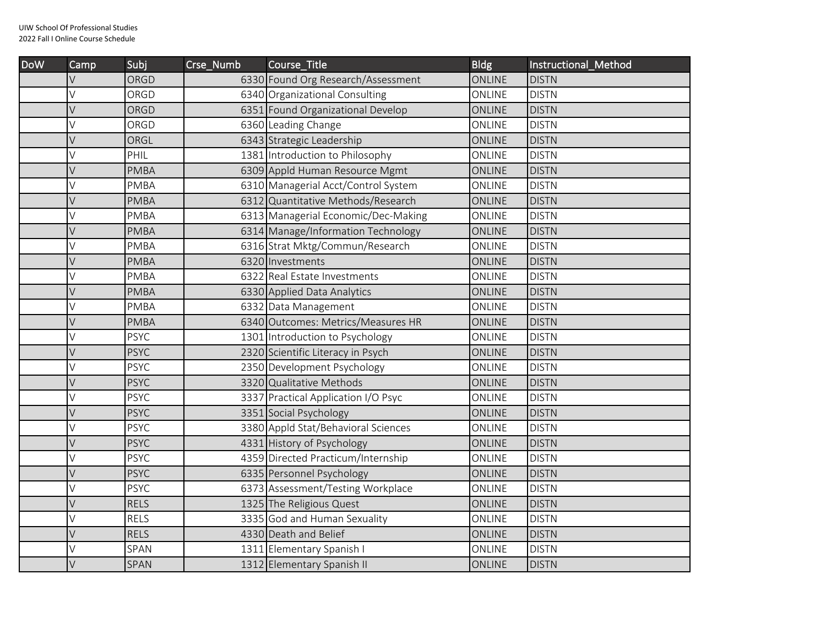| <b>DoW</b> | Camp   | Subj        | Crse_Numb | Course_Title                        | <b>Bldg</b>   | Instructional_Method |
|------------|--------|-------------|-----------|-------------------------------------|---------------|----------------------|
|            | V      | ORGD        |           | 6330 Found Org Research/Assessment  | <b>ONLINE</b> | <b>DISTN</b>         |
|            | V      | ORGD        |           | 6340 Organizational Consulting      | ONLINE        | <b>DISTN</b>         |
|            | V      | ORGD        |           | 6351 Found Organizational Develop   | ONLINE        | <b>DISTN</b>         |
|            | V      | ORGD        |           | 6360 Leading Change                 | ONLINE        | <b>DISTN</b>         |
|            | V      | ORGL        |           | 6343 Strategic Leadership           | <b>ONLINE</b> | <b>DISTN</b>         |
|            | V      | PHIL        |           | 1381 Introduction to Philosophy     | ONLINE        | <b>DISTN</b>         |
|            | V      | <b>PMBA</b> |           | 6309 Appld Human Resource Mgmt      | <b>ONLINE</b> | <b>DISTN</b>         |
|            | V      | <b>PMBA</b> |           | 6310 Managerial Acct/Control System | ONLINE        | <b>DISTN</b>         |
|            | V      | <b>PMBA</b> |           | 6312 Quantitative Methods/Research  | ONLINE        | <b>DISTN</b>         |
|            | V      | PMBA        |           | 6313 Managerial Economic/Dec-Making | ONLINE        | <b>DISTN</b>         |
|            | V      | <b>PMBA</b> |           | 6314 Manage/Information Technology  | ONLINE        | <b>DISTN</b>         |
|            | V      | <b>PMBA</b> |           | 6316 Strat Mktg/Commun/Research     | ONLINE        | <b>DISTN</b>         |
|            | V      | <b>PMBA</b> |           | 6320 Investments                    | ONLINE        | <b>DISTN</b>         |
|            | V      | PMBA        |           | 6322 Real Estate Investments        | ONLINE        | <b>DISTN</b>         |
|            | V      | <b>PMBA</b> |           | 6330 Applied Data Analytics         | ONLINE        | <b>DISTN</b>         |
|            | V      | <b>PMBA</b> |           | 6332 Data Management                | ONLINE        | <b>DISTN</b>         |
|            | V      | <b>PMBA</b> |           | 6340 Outcomes: Metrics/Measures HR  | ONLINE        | <b>DISTN</b>         |
|            | V      | <b>PSYC</b> |           | 1301 Introduction to Psychology     | ONLINE        | <b>DISTN</b>         |
|            | V      | <b>PSYC</b> |           | 2320 Scientific Literacy in Psych   | ONLINE        | <b>DISTN</b>         |
|            | V      | <b>PSYC</b> |           | 2350 Development Psychology         | ONLINE        | <b>DISTN</b>         |
|            | V      | <b>PSYC</b> |           | 3320 Qualitative Methods            | <b>ONLINE</b> | <b>DISTN</b>         |
|            | V      | <b>PSYC</b> |           | 3337 Practical Application I/O Psyc | ONLINE        | <b>DISTN</b>         |
|            | V      | <b>PSYC</b> |           | 3351 Social Psychology              | ONLINE        | <b>DISTN</b>         |
|            | V      | PSYC        |           | 3380 Appld Stat/Behavioral Sciences | ONLINE        | <b>DISTN</b>         |
|            | $\vee$ | <b>PSYC</b> |           | 4331 History of Psychology          | ONLINE        | <b>DISTN</b>         |
|            | V      | <b>PSYC</b> |           | 4359 Directed Practicum/Internship  | ONLINE        | <b>DISTN</b>         |
|            | V      | <b>PSYC</b> |           | 6335 Personnel Psychology           | <b>ONLINE</b> | <b>DISTN</b>         |
|            | V      | <b>PSYC</b> |           | 6373 Assessment/Testing Workplace   | ONLINE        | <b>DISTN</b>         |
|            | V      | <b>RELS</b> |           | 1325 The Religious Quest            | <b>ONLINE</b> | <b>DISTN</b>         |
|            | V      | RELS        |           | 3335 God and Human Sexuality        | ONLINE        | <b>DISTN</b>         |
|            | V      | <b>RELS</b> |           | 4330 Death and Belief               | <b>ONLINE</b> | <b>DISTN</b>         |
|            | V      | SPAN        |           | 1311 Elementary Spanish I           | ONLINE        | <b>DISTN</b>         |
|            | V      | SPAN        |           | 1312 Elementary Spanish II          | <b>ONLINE</b> | <b>DISTN</b>         |